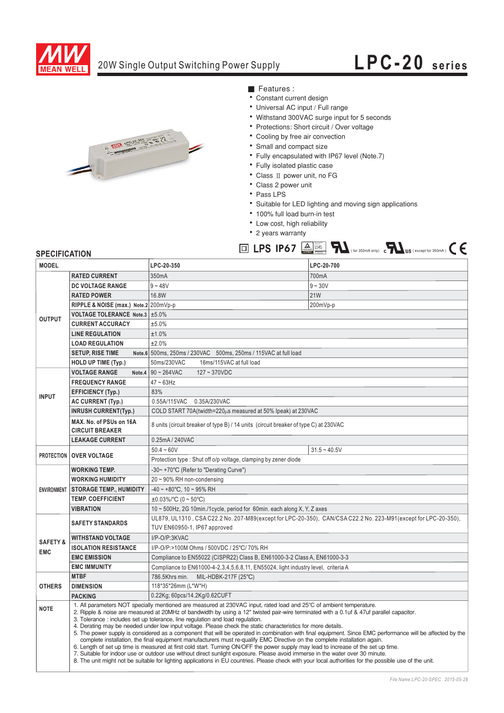

### 20W Single Output Switching Power Supply

# **LPC-20 series**



- Features :
- Constant current design
- Universal AC input / Full range
- Withstand 300VAC surge input for 5 seconds
- Protections: Short circuit / Over voltage
- Cooling by free air convection
- Small and compact size
- Fully encapsulated with IP67 level (Note.7)

Bauari ger ma<br>Bauari ge<br>Bauari gepruft<br>**ID 200000** 

- Fully isolated plastic case
- $\bullet$  Class II power unit, no FG
- Class 2 power unit
- Pass LPS
- Suitable for LED lighting and moving sign applications

 $LPS$  **IP67**  $\boxed{\triangle}$   $\boxed{\blacktriangleright}$   $\boxed{\blacktriangle}$   $\boxed{\blacktriangle}$   $\boxed{\blacktriangle}$  (for 350mA only)  $\Box$   $\boxed{\blacktriangle}$  US (except for 350mA)

- · 100% full load burn-in test
- Low cost, high reliability
- 2 years warranty

#### **SPECIFICATION**

| <b>MODEL</b>                      |                                                                                                                                                                                                                                                                                                                                                                                                                                                                                                                                                                                                                                                                                                                                                                                                                                                                                                                                                                                                                                                                                                                                                                                                | LPC-20-350                                                                                                                                     | LPC-20-700     |
|-----------------------------------|------------------------------------------------------------------------------------------------------------------------------------------------------------------------------------------------------------------------------------------------------------------------------------------------------------------------------------------------------------------------------------------------------------------------------------------------------------------------------------------------------------------------------------------------------------------------------------------------------------------------------------------------------------------------------------------------------------------------------------------------------------------------------------------------------------------------------------------------------------------------------------------------------------------------------------------------------------------------------------------------------------------------------------------------------------------------------------------------------------------------------------------------------------------------------------------------|------------------------------------------------------------------------------------------------------------------------------------------------|----------------|
| <b>OUTPUT</b>                     | <b>RATED CURRENT</b>                                                                                                                                                                                                                                                                                                                                                                                                                                                                                                                                                                                                                                                                                                                                                                                                                                                                                                                                                                                                                                                                                                                                                                           | 350mA                                                                                                                                          | 700mA          |
|                                   | DC VOLTAGE RANGE                                                                                                                                                                                                                                                                                                                                                                                                                                                                                                                                                                                                                                                                                                                                                                                                                                                                                                                                                                                                                                                                                                                                                                               | $9 - 48V$                                                                                                                                      | $9 - 30V$      |
|                                   | <b>RATED POWER</b>                                                                                                                                                                                                                                                                                                                                                                                                                                                                                                                                                                                                                                                                                                                                                                                                                                                                                                                                                                                                                                                                                                                                                                             | 16.8W                                                                                                                                          | <b>21W</b>     |
|                                   | RIPPLE & NOISE (max.) Note.2 200mVp-p                                                                                                                                                                                                                                                                                                                                                                                                                                                                                                                                                                                                                                                                                                                                                                                                                                                                                                                                                                                                                                                                                                                                                          |                                                                                                                                                | 200mVp-p       |
|                                   | <b>VOLTAGE TOLERANCE Note.3</b>                                                                                                                                                                                                                                                                                                                                                                                                                                                                                                                                                                                                                                                                                                                                                                                                                                                                                                                                                                                                                                                                                                                                                                | ±5.0%                                                                                                                                          |                |
|                                   | <b>CURRENT ACCURACY</b>                                                                                                                                                                                                                                                                                                                                                                                                                                                                                                                                                                                                                                                                                                                                                                                                                                                                                                                                                                                                                                                                                                                                                                        | ±5.0%                                                                                                                                          |                |
|                                   | <b>LINE REGULATION</b>                                                                                                                                                                                                                                                                                                                                                                                                                                                                                                                                                                                                                                                                                                                                                                                                                                                                                                                                                                                                                                                                                                                                                                         | ±1.0%                                                                                                                                          |                |
|                                   | <b>LOAD REGULATION</b>                                                                                                                                                                                                                                                                                                                                                                                                                                                                                                                                                                                                                                                                                                                                                                                                                                                                                                                                                                                                                                                                                                                                                                         | ±2.0%                                                                                                                                          |                |
|                                   | <b>SETUP, RISE TIME</b>                                                                                                                                                                                                                                                                                                                                                                                                                                                                                                                                                                                                                                                                                                                                                                                                                                                                                                                                                                                                                                                                                                                                                                        | Note.6 500ms, 250ms / 230VAC 500ms, 250ms / 115VAC at full load                                                                                |                |
|                                   | <b>HOLD UP TIME (Typ.)</b>                                                                                                                                                                                                                                                                                                                                                                                                                                                                                                                                                                                                                                                                                                                                                                                                                                                                                                                                                                                                                                                                                                                                                                     | 50ms/230VAC<br>16ms/115VAC at full load                                                                                                        |                |
| <b>INPUT</b>                      | <b>VOLTAGE RANGE</b>                                                                                                                                                                                                                                                                                                                                                                                                                                                                                                                                                                                                                                                                                                                                                                                                                                                                                                                                                                                                                                                                                                                                                                           | Note.4 $90 \sim 264$ VAC<br>$127 - 370$ VDC                                                                                                    |                |
|                                   | <b>FREQUENCY RANGE</b>                                                                                                                                                                                                                                                                                                                                                                                                                                                                                                                                                                                                                                                                                                                                                                                                                                                                                                                                                                                                                                                                                                                                                                         | $47 \sim 63$ Hz                                                                                                                                |                |
|                                   | <b>EFFICIENCY (Typ.)</b>                                                                                                                                                                                                                                                                                                                                                                                                                                                                                                                                                                                                                                                                                                                                                                                                                                                                                                                                                                                                                                                                                                                                                                       | 83%                                                                                                                                            |                |
|                                   | <b>AC CURRENT (Typ.)</b>                                                                                                                                                                                                                                                                                                                                                                                                                                                                                                                                                                                                                                                                                                                                                                                                                                                                                                                                                                                                                                                                                                                                                                       | 0.55A/115VAC 0.35A/230VAC                                                                                                                      |                |
|                                   | <b>INRUSH CURRENT(Typ.)</b>                                                                                                                                                                                                                                                                                                                                                                                                                                                                                                                                                                                                                                                                                                                                                                                                                                                                                                                                                                                                                                                                                                                                                                    | COLD START 70A(twidth=220µs measured at 50% Ipeak) at 230VAC                                                                                   |                |
|                                   | MAX. No. of PSUs on 16A<br><b>CIRCUIT BREAKER</b>                                                                                                                                                                                                                                                                                                                                                                                                                                                                                                                                                                                                                                                                                                                                                                                                                                                                                                                                                                                                                                                                                                                                              | 8 units (circuit breaker of type B) / 14 units (circuit breaker of type C) at 230VAC                                                           |                |
|                                   | <b>LEAKAGE CURRENT</b>                                                                                                                                                                                                                                                                                                                                                                                                                                                                                                                                                                                                                                                                                                                                                                                                                                                                                                                                                                                                                                                                                                                                                                         | 0.25mA / 240VAC                                                                                                                                |                |
| <b>PROTECTION   OVER VOLTAGE</b>  |                                                                                                                                                                                                                                                                                                                                                                                                                                                                                                                                                                                                                                                                                                                                                                                                                                                                                                                                                                                                                                                                                                                                                                                                | $50.4 - 60V$                                                                                                                                   | $31.5 - 40.5V$ |
|                                   |                                                                                                                                                                                                                                                                                                                                                                                                                                                                                                                                                                                                                                                                                                                                                                                                                                                                                                                                                                                                                                                                                                                                                                                                | Protection type: Shut off o/p voltage, clamping by zener diode                                                                                 |                |
| <b>ENVIRONMENT</b>                | <b>WORKING TEMP.</b>                                                                                                                                                                                                                                                                                                                                                                                                                                                                                                                                                                                                                                                                                                                                                                                                                                                                                                                                                                                                                                                                                                                                                                           | -30~+70°C (Refer to "Derating Curve")                                                                                                          |                |
|                                   | <b>WORKING HUMIDITY</b>                                                                                                                                                                                                                                                                                                                                                                                                                                                                                                                                                                                                                                                                                                                                                                                                                                                                                                                                                                                                                                                                                                                                                                        | $20 \sim 90\%$ RH non-condensing                                                                                                               |                |
|                                   | <b>STORAGE TEMP., HUMIDITY</b>                                                                                                                                                                                                                                                                                                                                                                                                                                                                                                                                                                                                                                                                                                                                                                                                                                                                                                                                                                                                                                                                                                                                                                 | $-40 \sim +80^{\circ}$ C, 10 ~ 95% RH                                                                                                          |                |
|                                   | <b>TEMP. COEFFICIENT</b>                                                                                                                                                                                                                                                                                                                                                                                                                                                                                                                                                                                                                                                                                                                                                                                                                                                                                                                                                                                                                                                                                                                                                                       | $\pm 0.03\%$ /°C (0 ~ 50°C)                                                                                                                    |                |
|                                   | <b>VIBRATION</b>                                                                                                                                                                                                                                                                                                                                                                                                                                                                                                                                                                                                                                                                                                                                                                                                                                                                                                                                                                                                                                                                                                                                                                               | 10 ~ 500Hz, 2G 10min./1cycle, period for 60min. each along X, Y, Z axes                                                                        |                |
| <b>SAFETY &amp;</b><br><b>EMC</b> | <b>SAFETY STANDARDS</b>                                                                                                                                                                                                                                                                                                                                                                                                                                                                                                                                                                                                                                                                                                                                                                                                                                                                                                                                                                                                                                                                                                                                                                        | UL879, UL1310, CSA C22.2 No. 207-M89(except for LPC-20-350), CAN/CSA C22.2 No. 223-M91(except for LPC-20-350),<br>TUV EN60950-1, IP67 approved |                |
|                                   | <b>WITHSTAND VOLTAGE</b>                                                                                                                                                                                                                                                                                                                                                                                                                                                                                                                                                                                                                                                                                                                                                                                                                                                                                                                                                                                                                                                                                                                                                                       | I/P-O/P:3KVAC                                                                                                                                  |                |
|                                   | <b>ISOLATION RESISTANCE</b>                                                                                                                                                                                                                                                                                                                                                                                                                                                                                                                                                                                                                                                                                                                                                                                                                                                                                                                                                                                                                                                                                                                                                                    | I/P-O/P:>100M Ohms / 500VDC / 25°C/ 70% RH                                                                                                     |                |
|                                   | <b>EMC EMISSION</b>                                                                                                                                                                                                                                                                                                                                                                                                                                                                                                                                                                                                                                                                                                                                                                                                                                                                                                                                                                                                                                                                                                                                                                            | Compliance to EN55022 (CISPR22) Class B, EN61000-3-2 Class A, EN61000-3-3                                                                      |                |
|                                   | <b>EMC IMMUNITY</b>                                                                                                                                                                                                                                                                                                                                                                                                                                                                                                                                                                                                                                                                                                                                                                                                                                                                                                                                                                                                                                                                                                                                                                            | Compliance to EN61000-4-2,3,4,5,6,8,11, EN55024, light industry level, criteria A                                                              |                |
| <b>OTHERS</b>                     | <b>MTBF</b>                                                                                                                                                                                                                                                                                                                                                                                                                                                                                                                                                                                                                                                                                                                                                                                                                                                                                                                                                                                                                                                                                                                                                                                    | 786.5Khrs min.<br>MIL-HDBK-217F (25°C)                                                                                                         |                |
|                                   | <b>DIMENSION</b>                                                                                                                                                                                                                                                                                                                                                                                                                                                                                                                                                                                                                                                                                                                                                                                                                                                                                                                                                                                                                                                                                                                                                                               | 118*35*26mm (L*W*H)                                                                                                                            |                |
|                                   | <b>PACKING</b>                                                                                                                                                                                                                                                                                                                                                                                                                                                                                                                                                                                                                                                                                                                                                                                                                                                                                                                                                                                                                                                                                                                                                                                 | 0.22Kg; 60pcs/14.2Kg/0.62CUFT                                                                                                                  |                |
| <b>NOTE</b>                       | 1. All parameters NOT specially mentioned are measured at 230VAC input, rated load and 25°C of ambient temperature.<br>2. Ripple & noise are measured at 20MHz of bandwidth by using a 12" twisted pair-wire terminated with a 0.1uf & 47uf parallel capacitor.<br>3. Tolerance : includes set up tolerance, line regulation and load regulation.<br>4. Derating may be needed under low input voltage. Please check the static characteristics for more details.<br>5. The power supply is considered as a component that will be operated in combination with final equipment. Since EMC performance will be affected by the<br>complete installation, the final equipment manufacturers must re-qualify EMC Directive on the complete installation again.<br>6. Length of set up time is measured at first cold start. Turning ON/OFF the power supply may lead to increase of the set up time.<br>7. Suitable for indoor use or outdoor use without direct sunlight exposure. Please avoid immerse in the water over 30 minute.<br>8. The unit might not be suitable for lighting applications in EU countries. Please check with your local authorities for the possible use of the unit. |                                                                                                                                                |                |